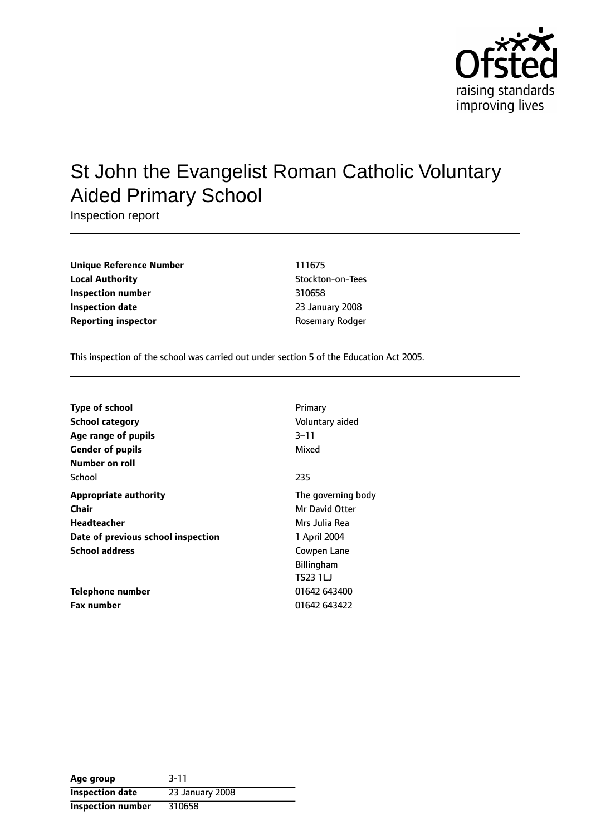

# St John the Evangelist Roman Catholic Voluntary Aided Primary School

Inspection report

| <b>Unique Reference Number</b> | 111675           |
|--------------------------------|------------------|
| <b>Local Authority</b>         | Stockton-on-Tees |
| Inspection number              | 310658           |
| <b>Inspection date</b>         | 23 January 2008  |
| <b>Reporting inspector</b>     | Rosemary Rodger  |

This inspection of the school was carried out under section 5 of the Education Act 2005.

| <b>Type of school</b>              | Primary            |
|------------------------------------|--------------------|
| <b>School category</b>             | Voluntary aided    |
| Age range of pupils                | 3-11               |
| <b>Gender of pupils</b>            | Mixed              |
| Number on roll                     |                    |
| School                             | 235                |
| <b>Appropriate authority</b>       | The governing body |
| Chair                              | Mr David Otter     |
| Headteacher                        | Mrs Julia Rea      |
| Date of previous school inspection | 1 April 2004       |
| <b>School address</b>              | Cowpen Lane        |
|                                    | <b>Billingham</b>  |
|                                    | TS23 1LJ           |
| Telephone number                   | 01642 643400       |
| <b>Fax number</b>                  | 01642 643422       |

| Age group                | $3 - 11$        |
|--------------------------|-----------------|
| <b>Inspection date</b>   | 23 January 2008 |
| <b>Inspection number</b> | 310658          |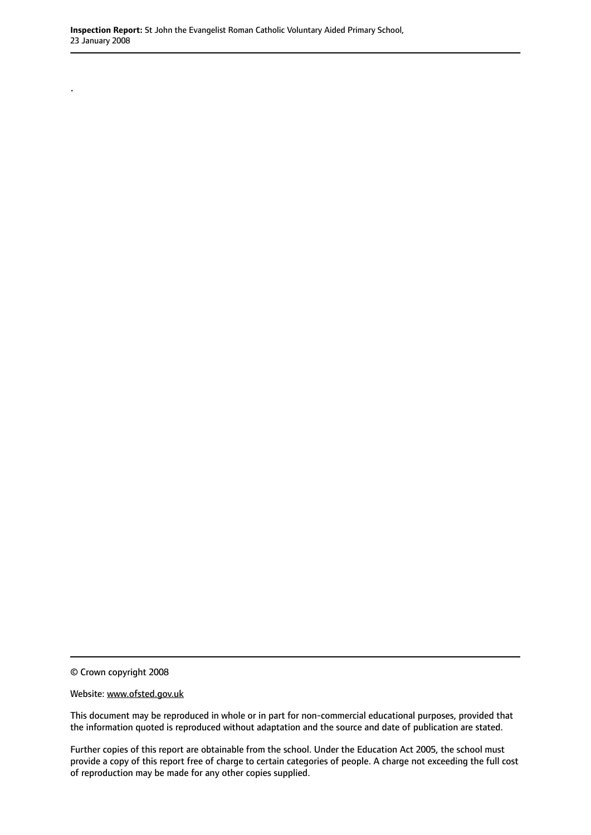© Crown copyright 2008

.

Website: www.ofsted.gov.uk

This document may be reproduced in whole or in part for non-commercial educational purposes, provided that the information quoted is reproduced without adaptation and the source and date of publication are stated.

Further copies of this report are obtainable from the school. Under the Education Act 2005, the school must provide a copy of this report free of charge to certain categories of people. A charge not exceeding the full cost of reproduction may be made for any other copies supplied.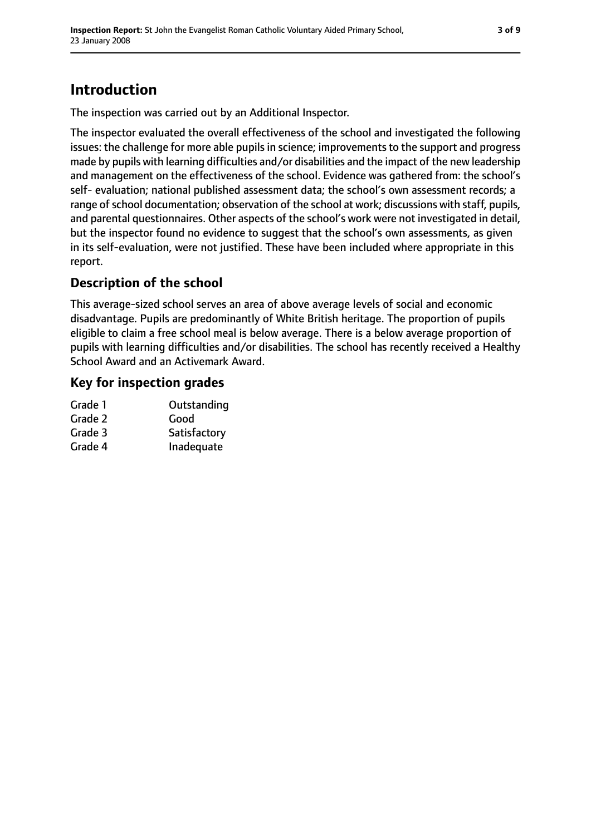# **Introduction**

The inspection was carried out by an Additional Inspector.

The inspector evaluated the overall effectiveness of the school and investigated the following issues: the challenge for more able pupils in science; improvements to the support and progress made by pupils with learning difficulties and/or disabilities and the impact of the new leadership and management on the effectiveness of the school. Evidence was gathered from: the school's self- evaluation; national published assessment data; the school's own assessment records; a range of school documentation; observation of the school at work; discussions with staff, pupils, and parental questionnaires. Other aspects of the school's work were not investigated in detail, but the inspector found no evidence to suggest that the school's own assessments, as given in its self-evaluation, were not justified. These have been included where appropriate in this report.

### **Description of the school**

This average-sized school serves an area of above average levels of social and economic disadvantage. Pupils are predominantly of White British heritage. The proportion of pupils eligible to claim a free school meal is below average. There is a below average proportion of pupils with learning difficulties and/or disabilities. The school has recently received a Healthy School Award and an Activemark Award.

### **Key for inspection grades**

| Grade 1 | Outstanding  |
|---------|--------------|
| Grade 2 | Good         |
| Grade 3 | Satisfactory |
| Grade 4 | Inadequate   |
|         |              |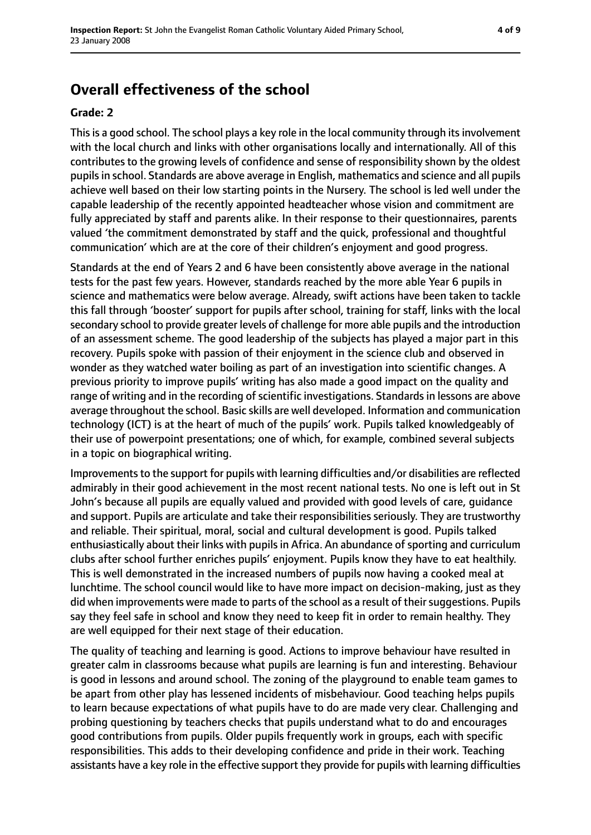## **Overall effectiveness of the school**

#### **Grade: 2**

This is a good school. The school plays a key role in the local community through its involvement with the local church and links with other organisations locally and internationally. All of this contributes to the growing levels of confidence and sense of responsibility shown by the oldest pupils in school. Standards are above average in English, mathematics and science and all pupils achieve well based on their low starting points in the Nursery. The school is led well under the capable leadership of the recently appointed headteacher whose vision and commitment are fully appreciated by staff and parents alike. In their response to their questionnaires, parents valued 'the commitment demonstrated by staff and the quick, professional and thoughtful communication' which are at the core of their children's enjoyment and good progress.

Standards at the end of Years 2 and 6 have been consistently above average in the national tests for the past few years. However, standards reached by the more able Year 6 pupils in science and mathematics were below average. Already, swift actions have been taken to tackle this fall through 'booster' support for pupils after school, training for staff, links with the local secondary school to provide greater levels of challenge for more able pupils and the introduction of an assessment scheme. The good leadership of the subjects has played a major part in this recovery. Pupils spoke with passion of their enjoyment in the science club and observed in wonder as they watched water boiling as part of an investigation into scientific changes. A previous priority to improve pupils' writing has also made a good impact on the quality and range of writing and in the recording of scientific investigations. Standards in lessons are above average throughout the school. Basic skills are well developed. Information and communication technology (ICT) is at the heart of much of the pupils' work. Pupils talked knowledgeably of their use of powerpoint presentations; one of which, for example, combined several subjects in a topic on biographical writing.

Improvements to the support for pupils with learning difficulties and/or disabilities are reflected admirably in their good achievement in the most recent national tests. No one is left out in St John's because all pupils are equally valued and provided with good levels of care, guidance and support. Pupils are articulate and take their responsibilities seriously. They are trustworthy and reliable. Their spiritual, moral, social and cultural development is good. Pupils talked enthusiastically about their links with pupils in Africa. An abundance of sporting and curriculum clubs after school further enriches pupils' enjoyment. Pupils know they have to eat healthily. This is well demonstrated in the increased numbers of pupils now having a cooked meal at lunchtime. The school council would like to have more impact on decision-making, just as they did when improvements were made to parts of the school as a result of their suggestions. Pupils say they feel safe in school and know they need to keep fit in order to remain healthy. They are well equipped for their next stage of their education.

The quality of teaching and learning is good. Actions to improve behaviour have resulted in greater calm in classrooms because what pupils are learning is fun and interesting. Behaviour is good in lessons and around school. The zoning of the playground to enable team games to be apart from other play has lessened incidents of misbehaviour. Good teaching helps pupils to learn because expectations of what pupils have to do are made very clear. Challenging and probing questioning by teachers checks that pupils understand what to do and encourages good contributions from pupils. Older pupils frequently work in groups, each with specific responsibilities. This adds to their developing confidence and pride in their work. Teaching assistants have a key role in the effective support they provide for pupils with learning difficulties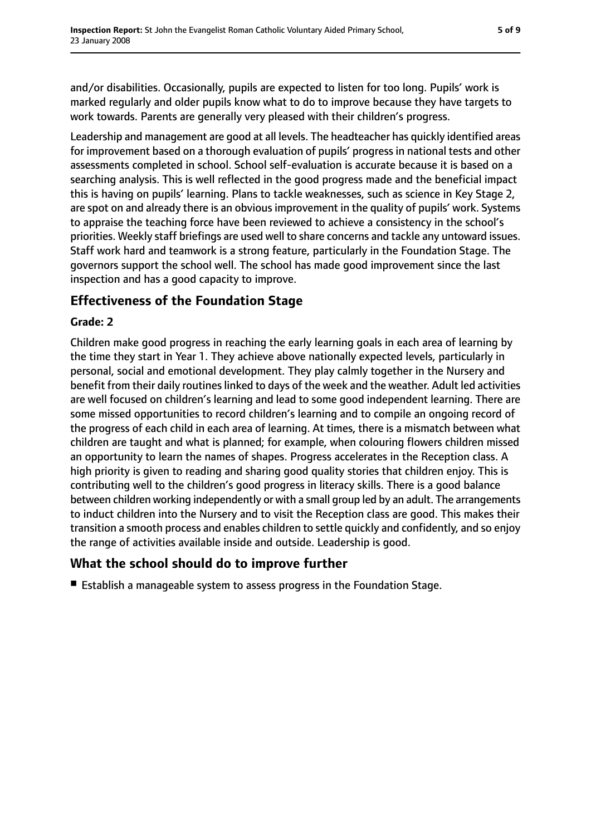and/or disabilities. Occasionally, pupils are expected to listen for too long. Pupils' work is marked regularly and older pupils know what to do to improve because they have targets to work towards. Parents are generally very pleased with their children's progress.

Leadership and management are good at all levels. The headteacher has quickly identified areas for improvement based on a thorough evaluation of pupils' progress in national tests and other assessments completed in school. School self-evaluation is accurate because it is based on a searching analysis. This is well reflected in the good progress made and the beneficial impact this is having on pupils' learning. Plans to tackle weaknesses, such as science in Key Stage 2, are spot on and already there is an obvious improvement in the quality of pupils' work. Systems to appraise the teaching force have been reviewed to achieve a consistency in the school's priorities. Weekly staff briefings are used well to share concerns and tackle any untoward issues. Staff work hard and teamwork is a strong feature, particularly in the Foundation Stage. The governors support the school well. The school has made good improvement since the last inspection and has a good capacity to improve.

### **Effectiveness of the Foundation Stage**

#### **Grade: 2**

Children make good progress in reaching the early learning goals in each area of learning by the time they start in Year 1. They achieve above nationally expected levels, particularly in personal, social and emotional development. They play calmly together in the Nursery and benefit from their daily routines linked to days of the week and the weather. Adult led activities are well focused on children's learning and lead to some good independent learning. There are some missed opportunities to record children's learning and to compile an ongoing record of the progress of each child in each area of learning. At times, there is a mismatch between what children are taught and what is planned; for example, when colouring flowers children missed an opportunity to learn the names of shapes. Progress accelerates in the Reception class. A high priority is given to reading and sharing good quality stories that children enjoy. This is contributing well to the children's good progress in literacy skills. There is a good balance between children working independently or with a small group led by an adult. The arrangements to induct children into the Nursery and to visit the Reception class are good. This makes their transition a smooth process and enables children to settle quickly and confidently, and so enjoy the range of activities available inside and outside. Leadership is good.

### **What the school should do to improve further**

■ Establish a manageable system to assess progress in the Foundation Stage.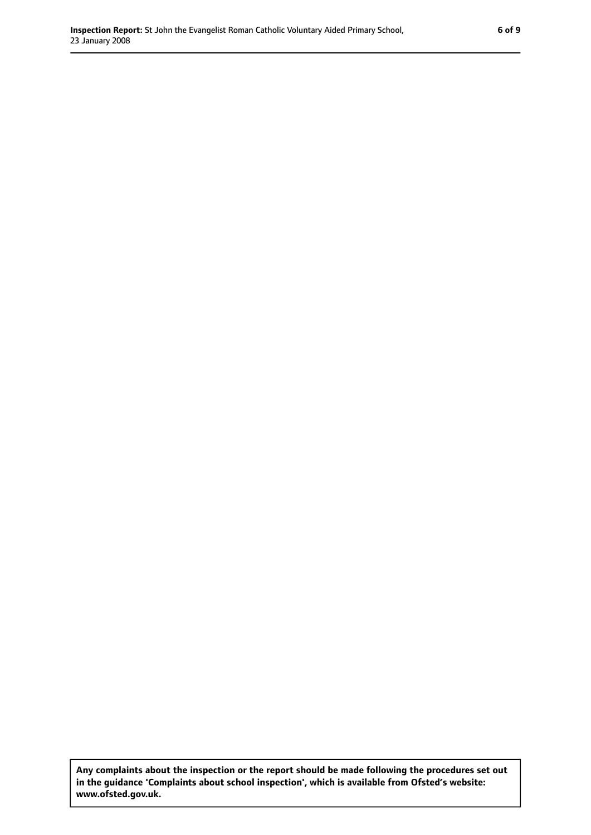**Any complaints about the inspection or the report should be made following the procedures set out in the guidance 'Complaints about school inspection', which is available from Ofsted's website: www.ofsted.gov.uk.**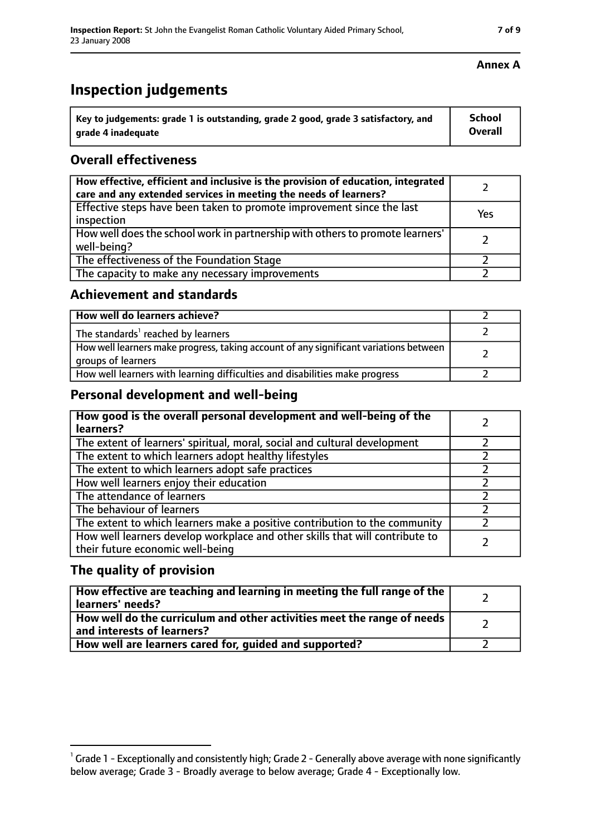# **Inspection judgements**

| $^{\cdot}$ Key to judgements: grade 1 is outstanding, grade 2 good, grade 3 satisfactory, and | School         |
|-----------------------------------------------------------------------------------------------|----------------|
| arade 4 inadequate                                                                            | <b>Overall</b> |

### **Overall effectiveness**

| How effective, efficient and inclusive is the provision of education, integrated<br>care and any extended services in meeting the needs of learners? |     |
|------------------------------------------------------------------------------------------------------------------------------------------------------|-----|
| Effective steps have been taken to promote improvement since the last<br>inspection                                                                  | Yes |
| How well does the school work in partnership with others to promote learners'<br>well-being?                                                         |     |
| The effectiveness of the Foundation Stage                                                                                                            |     |
| The capacity to make any necessary improvements                                                                                                      |     |

### **Achievement and standards**

| How well do learners achieve?                                                                               |  |
|-------------------------------------------------------------------------------------------------------------|--|
| The standards <sup>1</sup> reached by learners                                                              |  |
| How well learners make progress, taking account of any significant variations between<br>groups of learners |  |
| How well learners with learning difficulties and disabilities make progress                                 |  |

### **Personal development and well-being**

| How good is the overall personal development and well-being of the<br>learners?                                  |  |
|------------------------------------------------------------------------------------------------------------------|--|
| The extent of learners' spiritual, moral, social and cultural development                                        |  |
| The extent to which learners adopt healthy lifestyles                                                            |  |
| The extent to which learners adopt safe practices                                                                |  |
| How well learners enjoy their education                                                                          |  |
| The attendance of learners                                                                                       |  |
| The behaviour of learners                                                                                        |  |
| The extent to which learners make a positive contribution to the community                                       |  |
| How well learners develop workplace and other skills that will contribute to<br>their future economic well-being |  |

### **The quality of provision**

| How effective are teaching and learning in meeting the full range of the<br>learners' needs?          |  |
|-------------------------------------------------------------------------------------------------------|--|
| How well do the curriculum and other activities meet the range of needs<br>and interests of learners? |  |
| How well are learners cared for, guided and supported?                                                |  |

### **Annex A**

 $^1$  Grade 1 - Exceptionally and consistently high; Grade 2 - Generally above average with none significantly below average; Grade 3 - Broadly average to below average; Grade 4 - Exceptionally low.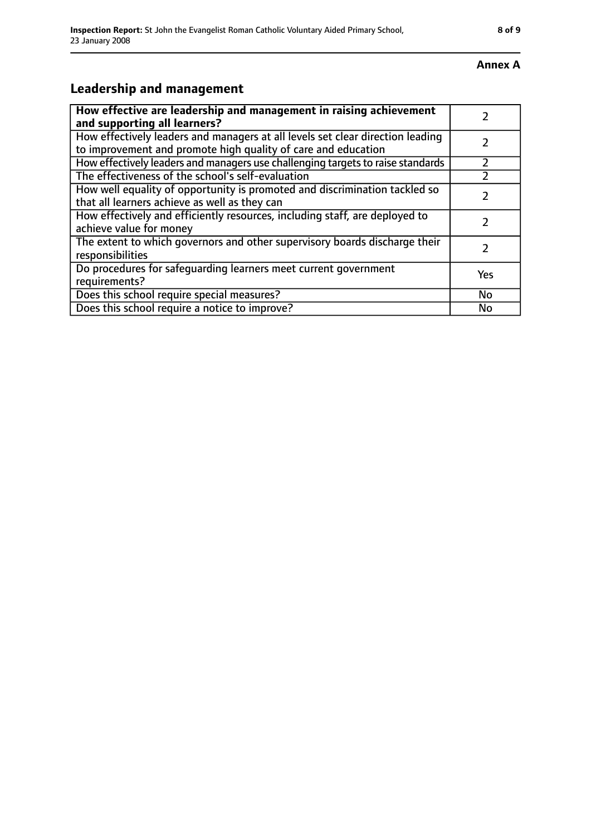#### **Annex A**

# **Leadership and management**

| How effective are leadership and management in raising achievement<br>and supporting all learners?                                              |     |
|-------------------------------------------------------------------------------------------------------------------------------------------------|-----|
| How effectively leaders and managers at all levels set clear direction leading<br>to improvement and promote high quality of care and education |     |
| How effectively leaders and managers use challenging targets to raise standards                                                                 |     |
| The effectiveness of the school's self-evaluation                                                                                               |     |
| How well equality of opportunity is promoted and discrimination tackled so<br>that all learners achieve as well as they can                     |     |
| How effectively and efficiently resources, including staff, are deployed to<br>achieve value for money                                          |     |
| The extent to which governors and other supervisory boards discharge their<br>responsibilities                                                  |     |
| Do procedures for safequarding learners meet current government<br>requirements?                                                                | Yes |
| Does this school require special measures?                                                                                                      | No  |
| Does this school require a notice to improve?                                                                                                   | No  |